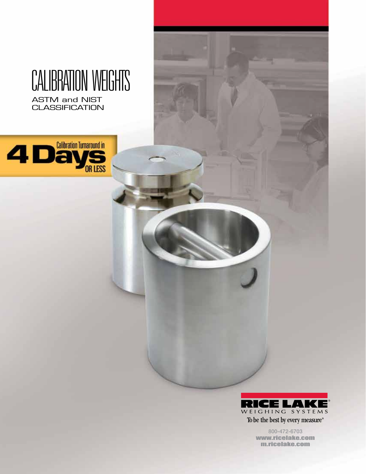## CALIBRATION WEIGHTS ASTM and NIST **CLASSIFICATION**

4 Days



800-472-6703 www.ricelake.com m.ricelake.com